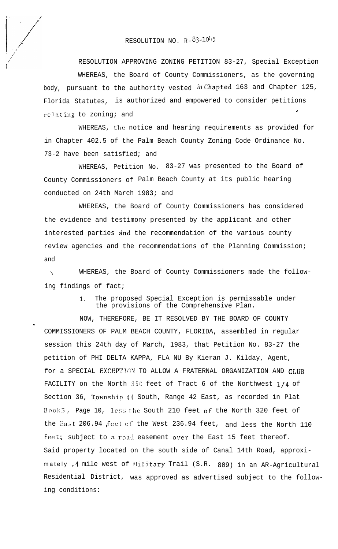## RESOLUTION NO. R-83-1045

RESOLUTION APPROVING ZONING PETITION 83-27, Special Exception WHEREAS, the Board of County Commissioners, as the governing body, pursuant to the authority vested *in* Chapted 163 and Chapter 125, Florida Statutes, is authorized and empowered to consider petitions relating to zoning; and

WHEREAS, the notice and hearing requirements as provided for in Chapter 402.5 of the Palm Beach County Zoning Code Ordinance No. 73-2 have been satisfied; and

WHEREAS, Petition No. 83-27 was presented to the Board of County Commissioners of Palm Beach County at its public hearing conducted on 24th March 1983; and

WHEREAS, the Board of County Commissioners has considered the evidence and testimony presented by the applicant and other interested parties and the recommendation of the various county review agencies and the recommendations of the Planning Commission; and

\ WHEREAS, the Board of County Commissioners made the following findings of fact;

w

1. The proposed Special Exception is permissable under the provisions of the Comprehensive Plan.

NOW, THEREFORE, BE IT RESOLVED BY THE BOARD OF COUNTY COMMISSIONERS OF PALM BEACH COUNTY, FLORIDA, assembled in regular session this 24th day of March, 1983, that Petition No. 83-27 the petition of PHI DELTA KAPPA, FLA NU By Kieran J. Kilday, Agent, for a SPECIAL EXCEPTION TO ALLOW A FRATERNAL ORGANIZATION AND CLUB FACILITY on the North 350 feet of Tract 6 of the Northwest 1/4 of Section 36, Township 44 South, Range 42 East, as recorded in Plat Book 3, Page 10, less the South 210 feet of the North 320 feet of the East 206.94 feet of the West 236.94 feet, and less the North 110 feet; subject to a road easement over the East 15 feet thereof. Said property located on the south side of Canal 14th Road, approximately .4 mile west of Military Trail (S.R. 809) in an AR-Agricultural Residential District, was approved as advertised subject to the following conditions: